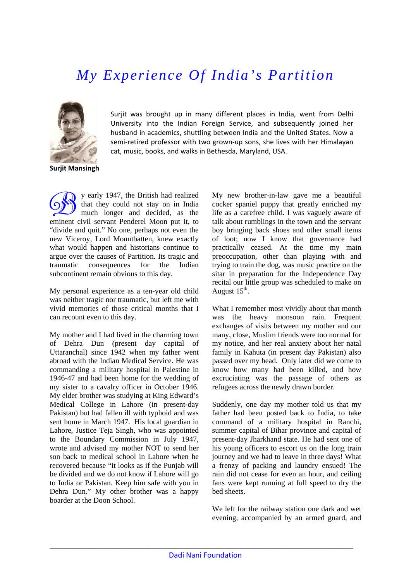## *My Experience Of India's Partition*



Surjit was brought up in many different places in India, went from Delhi University into the Indian Foreign Service, and subsequently joined her husband in academics, shuttling between India and the United States. Now a semi-retired professor with two grown-up sons, she lives with her Himalayan cat, music, books, and walks in Bethesda, Maryland, USA.

**Surjit Mansingh**

y early 1947, the British had realized y early 1947, the British had realized<br>that they could not stay on in India<br>much longer and decided, as the that they could not stay on in India eminent civil servant Penderel Moon put it, to "divide and quit." No one, perhaps not even the new Viceroy, Lord Mountbatten, knew exactly what would happen and historians continue to argue over the causes of Partition. Its tragic and traumatic consequences for the Indian subcontinent remain obvious to this day.

My personal experience as a ten-year old child was neither tragic nor traumatic, but left me with vivid memories of those critical months that I can recount even to this day.

My mother and I had lived in the charming town of Dehra Dun (present day capital of Uttaranchal) since 1942 when my father went abroad with the Indian Medical Service. He was commanding a military hospital in Palestine in 1946-47 and had been home for the wedding of my sister to a cavalry officer in October 1946. My elder brother was studying at King Edward's Medical College in Lahore (in present-day Pakistan) but had fallen ill with typhoid and was sent home in March 1947. His local guardian in Lahore, Justice Teja Singh, who was appointed to the Boundary Commission in July 1947, wrote and advised my mother NOT to send her son back to medical school in Lahore when he recovered because "it looks as if the Punjab will be divided and we do not know if Lahore will go to India or Pakistan. Keep him safe with you in Dehra Dun." My other brother was a happy boarder at the Doon School.

My new brother-in-law gave me a beautiful cocker spaniel puppy that greatly enriched my life as a carefree child. I was vaguely aware of talk about rumblings in the town and the servant boy bringing back shoes and other small items of loot; now I know that governance had practically ceased. At the time my main preoccupation, other than playing with and trying to train the dog, was music practice on the sitar in preparation for the Independence Day recital our little group was scheduled to make on August  $15<sup>th</sup>$ .

What I remember most vividly about that month was the heavy monsoon rain. Frequent exchanges of visits between my mother and our many, close, Muslim friends were too normal for my notice, and her real anxiety about her natal family in Kahuta (in present day Pakistan) also passed over my head. Only later did we come to know how many had been killed, and how excruciating was the passage of others as refugees across the newly drawn border.

Suddenly, one day my mother told us that my father had been posted back to India, to take command of a military hospital in Ranchi, summer capital of Bihar province and capital of present-day Jharkhand state. He had sent one of his young officers to escort us on the long train journey and we had to leave in three days! What a frenzy of packing and laundry ensued! The rain did not cease for even an hour, and ceiling fans were kept running at full speed to dry the bed sheets.

We left for the railway station one dark and wet evening, accompanied by an armed guard, and